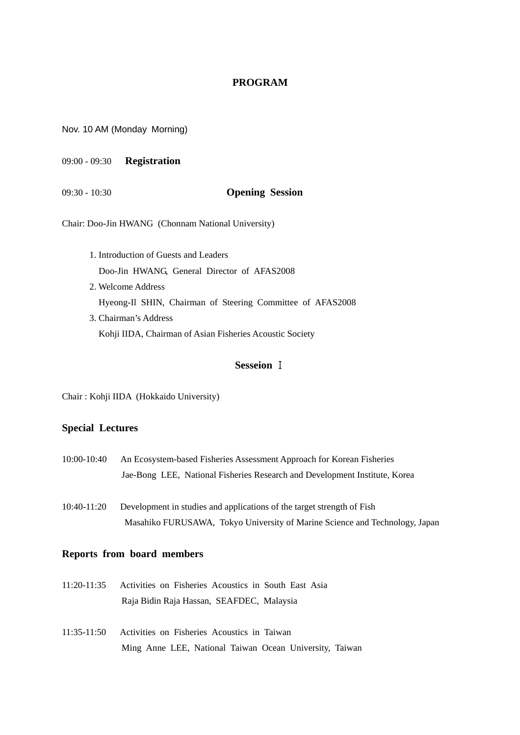### **PROGRAM**

Nov. 10 AM (Monday Morning)

09:00 - 09:30 **Registration**

#### 09:30 - 10:30 **Opening Session**

Chair: Doo-Jin HWANG (Chonnam National University)

1. Introduction of Guests and Leaders Doo-Jin HWANG, General Director of AFAS2008 2. Welcome Address Hyeong-Il SHIN, Chairman of Steering Committee of AFAS2008 3. Chairman's Address Kohji IIDA, Chairman of Asian Fisheries Acoustic Society

### **Sesseion** Ⅰ

Chair : Kohji IIDA (Hokkaido University)

#### **Special Lectures**

- 10:00-10:40 An Ecosystem-based Fisheries Assessment Approach for Korean Fisheries Jae-Bong LEE, National Fisheries Research and Development Institute, Korea
- 10:40-11:20 Development in studies and applications of the target strength of Fish Masahiko FURUSAWA, Tokyo University of Marine Science and Technology, Japan

#### **Reports from board members**

- 11:20-11:35 Activities on Fisheries Acoustics in South East Asia Raja Bidin Raja Hassan, SEAFDEC, Malaysia
- 11:35-11:50 Activities on Fisheries Acoustics in Taiwan Ming Anne LEE, National Taiwan Ocean University, Taiwan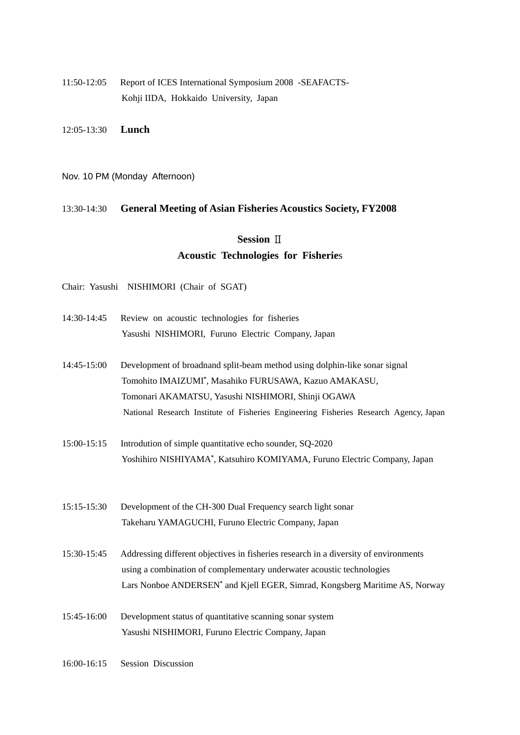11:50-12:05 Report of ICES International Symposium 2008 -SEAFACTS-Kohji IIDA, Hokkaido University, Japan

12:05-13:30 **Lunch**

Nov. 10 PM (Monday Afternoon)

#### 13:30-14:30 **General Meeting of Asian Fisheries Acoustics Society, FY2008**

# **Session** Ⅱ **Acoustic Technologies for Fisherie**s

Chair: Yasushi NISHIMORI (Chair of SGAT)

- 14:30-14:45 Review on acoustic technologies for fisheries Yasushi NISHIMORI, Furuno Electric Company, Japan
- 14:45-15:00 Development of broadnand split-beam method using dolphin-like sonar signal Tomohito IMAIZUMI**\*** , Masahiko FURUSAWA, Kazuo AMAKASU, Tomonari AKAMATSU, Yasushi NISHIMORI, Shinji OGAWA National Research Institute of Fisheries Engineering Fisheries Research Agency, Japan
- 15:00-15:15 Introdution of simple quantitative echo sounder, SQ-2020 Yoshihiro NISHIYAMA**\*** , Katsuhiro KOMIYAMA, Furuno Electric Company, Japan

15:15-15:30 Development of the CH-300 Dual Frequency search light sonar Takeharu YAMAGUCHI, Furuno Electric Company, Japan

15:30-15:45 Addressing different objectives in fisheries research in a diversity of environments using a combination of complementary underwater acoustic technologies Lars Nonboe ANDERSEN<sup>\*</sup> and Kjell EGER, Simrad, Kongsberg Maritime AS, Norway

15:45-16:00 Development status of quantitative scanning sonar system Yasushi NISHIMORI, Furuno Electric Company, Japan

16:00-16:15 Session Discussion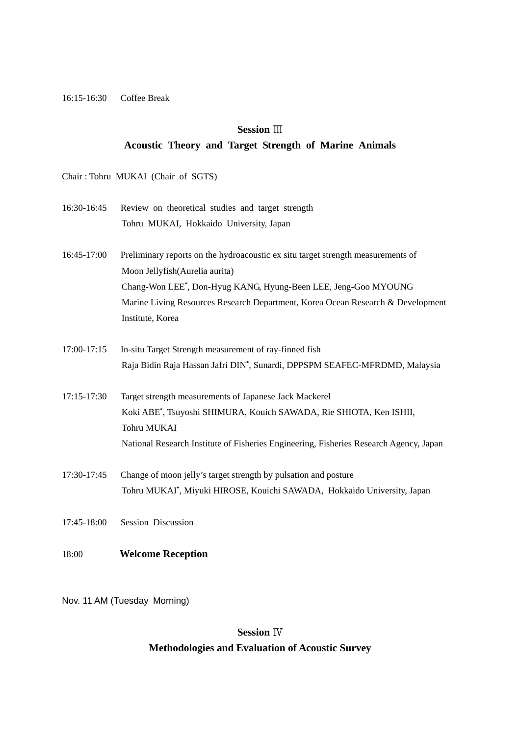#### 16:15-16:30 Coffee Break

### **Session** Ⅲ

#### **Acoustic Theory and Target Strength of Marine Animals**

Chair : Tohru MUKAI (Chair of SGTS)

- 16:30-16:45 Review on theoretical studies and target strength Tohru MUKAI, Hokkaido University, Japan
- 16:45-17:00 Preliminary reports on the hydroacoustic ex situ target strength measurements of Moon Jellyfish(Aurelia aurita) Chang-Won LEE**\*** , Don-Hyug KANG, Hyung-Been LEE, Jeng-Goo MYOUNG Marine Living Resources Research Department, Korea Ocean Research & Development Institute, Korea
- 17:00-17:15 In-situ Target Strength measurement of ray-finned fish Raja Bidin Raja Hassan Jafri DIN**\*** , Sunardi, DPPSPM SEAFEC-MFRDMD, Malaysia
- 17:15-17:30 Target strength measurements of Japanese Jack Mackerel Koki ABE**\*** , Tsuyoshi SHIMURA, Kouich SAWADA, Rie SHIOTA, Ken ISHII, Tohru MUKAI National Research Institute of Fisheries Engineering, Fisheries Research Agency, Japan
- 17:30-17:45 Change of moon jelly's target strength by pulsation and posture Tohru MUKAI**\*** , Miyuki HIROSE, Kouichi SAWADA, Hokkaido University, Japan
- 17:45-18:00 Session Discussion
- 18:00 **Welcome Reception**

Nov. 11 AM (Tuesday Morning)

# **Session** Ⅳ **Methodologies and Evaluation of Acoustic Survey**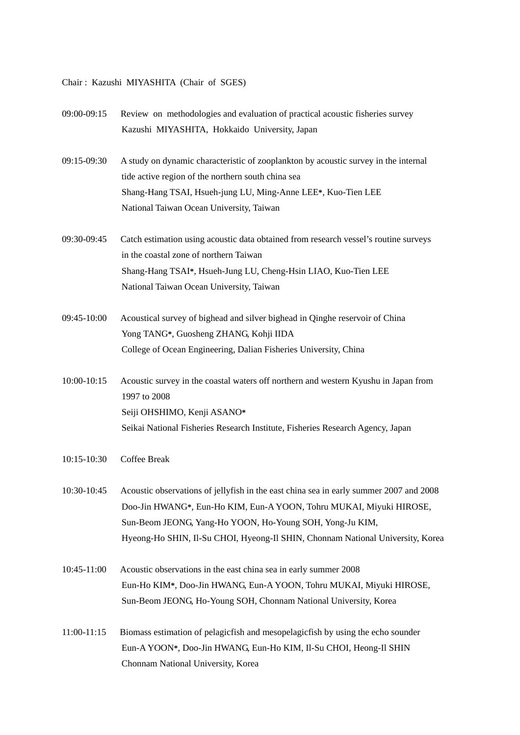### Chair : Kazushi MIYASHITA (Chair of SGES)

| 09:00-09:15   | Review on methodologies and evaluation of practical acoustic fisheries survey<br>Kazushi MIYASHITA, Hokkaido University, Japan                                                                                                                                                                              |
|---------------|-------------------------------------------------------------------------------------------------------------------------------------------------------------------------------------------------------------------------------------------------------------------------------------------------------------|
| 09:15-09:30   | A study on dynamic characteristic of zooplankton by acoustic survey in the internal<br>tide active region of the northern south china sea<br>Shang-Hang TSAI, Hsueh-jung LU, Ming-Anne LEE*, Kuo-Tien LEE<br>National Taiwan Ocean University, Taiwan                                                       |
| 09:30-09:45   | Catch estimation using acoustic data obtained from research vessel's routine surveys<br>in the coastal zone of northern Taiwan<br>Shang-Hang TSAI*, Hsueh-Jung LU, Cheng-Hsin LIAO, Kuo-Tien LEE<br>National Taiwan Ocean University, Taiwan                                                                |
| 09:45-10:00   | Acoustical survey of bighead and silver bighead in Qinghe reservoir of China<br>Yong TANG*, Guosheng ZHANG, Kohji IIDA<br>College of Ocean Engineering, Dalian Fisheries University, China                                                                                                                  |
| 10:00-10:15   | Acoustic survey in the coastal waters off northern and western Kyushu in Japan from<br>1997 to 2008<br>Seiji OHSHIMO, Kenji ASANO*<br>Seikai National Fisheries Research Institute, Fisheries Research Agency, Japan                                                                                        |
| 10:15-10:30   | Coffee Break                                                                                                                                                                                                                                                                                                |
| 10:30-10:45   | Acoustic observations of jellyfish in the east china sea in early summer 2007 and 2008<br>Doo-Jin HWANG*, Eun-Ho KIM, Eun-A YOON, Tohru MUKAI, Miyuki HIROSE,<br>Sun-Beom JEONG, Yang-Ho YOON, Ho-Young SOH, Yong-Ju KIM,<br>Hyeong-Ho SHIN, Il-Su CHOI, Hyeong-Il SHIN, Chonnam National University, Korea |
| 10:45-11:00   | Acoustic observations in the east china sea in early summer 2008<br>Eun-Ho KIM*, Doo-Jin HWANG, Eun-A YOON, Tohru MUKAI, Miyuki HIROSE,<br>Sun-Beom JEONG, Ho-Young SOH, Chonnam National University, Korea                                                                                                 |
| $11:00-11:15$ | Biomass estimation of pelagicfish and mesopelagicfish by using the echo sounder<br>Eun-A YOON*, Doo-Jin HWANG, Eun-Ho KIM, Il-Su CHOI, Heong-Il SHIN<br>Chonnam National University, Korea                                                                                                                  |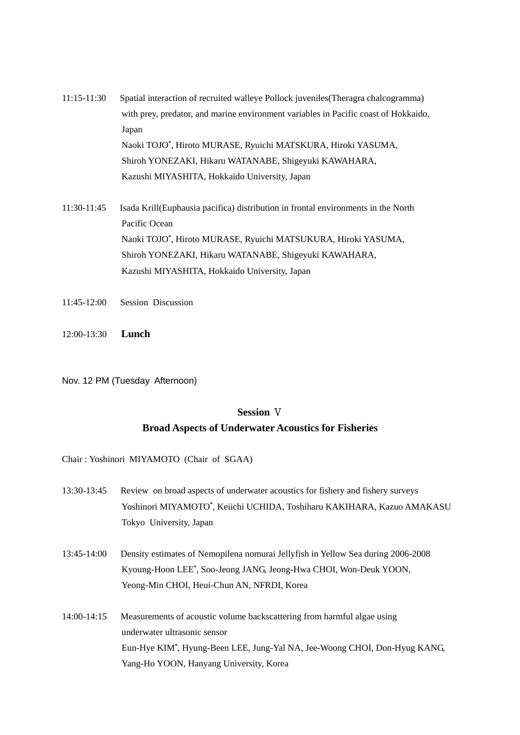- 11:15-11:30 Spatial interaction of recruited walleye Pollock juveniles(Theragra chalcogramma) with prey, predator, and marine environment variables in Pacific coast of Hokkaido, Japan Naoki TOJO**\*** , Hiroto MURASE, Ryuichi MATSKURA, Hiroki YASUMA, Shiroh YONEZAKI, Hikaru WATANABE, Shigeyuki KAWAHARA, Kazushi MIYASHITA, Hokkaido University, Japan
- 11:30-11:45 Isada Krill(Euphausia pacifica) distribution in frontal environments in the North Pacific Ocean Naoki TOJO**\*** , Hiroto MURASE, Ryuichi MATSUKURA, Hiroki YASUMA, Shiroh YONEZAKI, Hikaru WATANABE, Shigeyuki KAWAHARA, Kazushi MIYASHITA, Hokkaido University, Japan
- 11:45-12:00 Session Discussion
- 12:00-13:30 **Lunch**
- Nov. 12 PM (Tuesday Afternoon)

#### **Session** Ⅴ

#### **Broad Aspects of Underwater Acoustics for Fisheries**

Chair : Yoshinori MIYAMOTO (Chair of SGAA)

- 13:30-13:45 Review on broad aspects of underwater acoustics for fishery and fishery surveys Yoshinori MIYAMOTO**\*** , Keiichi UCHIDA, Toshiharu KAKIHARA, Kazuo AMAKASU Tokyo University, Japan
- 13:45-14:00 Density estimates of Nemopilena nomurai Jellyfish in Yellow Sea during 2006-2008 Kyoung-Hoon LEE**\*** , Soo-Jeong JANG, Jeong-Hwa CHOI, Won-Deuk YOON, Yeong-Min CHOI, Heui-Chun AN, NFRDI, Korea
- 14:00-14:15 Measurements of acoustic volume backscattering from harmful algae using underwater ultrasonic sensor Eun-Hye KIM**\*** , Hyung-Been LEE, Jung-Yal NA, Jee-Woong CHOI, Don-Hyug KANG, Yang-Ho YOON, Hanyang University, Korea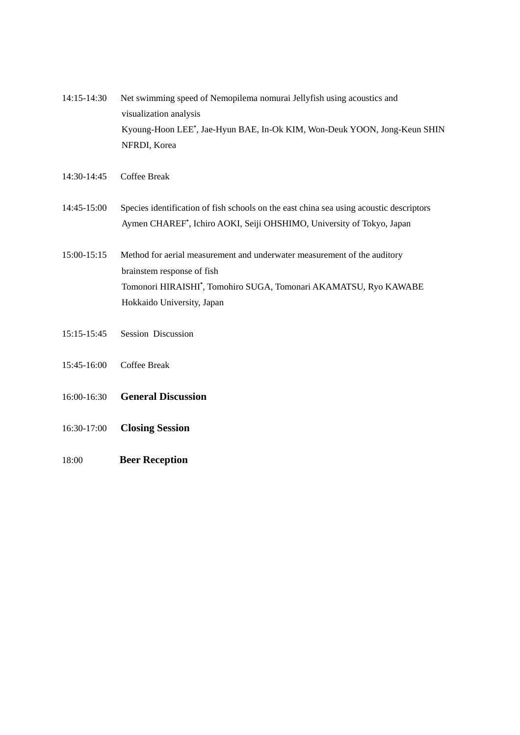- 14:15-14:30 Net swimming speed of Nemopilema nomurai Jellyfish using acoustics and visualization analysis Kyoung-Hoon LEE**\*** , Jae-Hyun BAE, In-Ok KIM, Won-Deuk YOON, Jong-Keun SHIN NFRDI, Korea
- 14:30-14:45 Coffee Break
- 14:45-15:00 Species identification of fish schools on the east china sea using acoustic descriptors Aymen CHAREF**\*** , Ichiro AOKI, Seiji OHSHIMO, University of Tokyo, Japan
- 15:00-15:15 Method for aerial measurement and underwater measurement of the auditory brainstem response of fish Tomonori HIRAISHI**\*** , Tomohiro SUGA, Tomonari AKAMATSU, Ryo KAWABE Hokkaido University, Japan
- 15:15-15:45 Session Discussion
- 15:45-16:00 Coffee Break
- 16:00-16:30 **General Discussion**
- 16:30-17:00 **Closing Session**
- 18:00 **Beer Reception**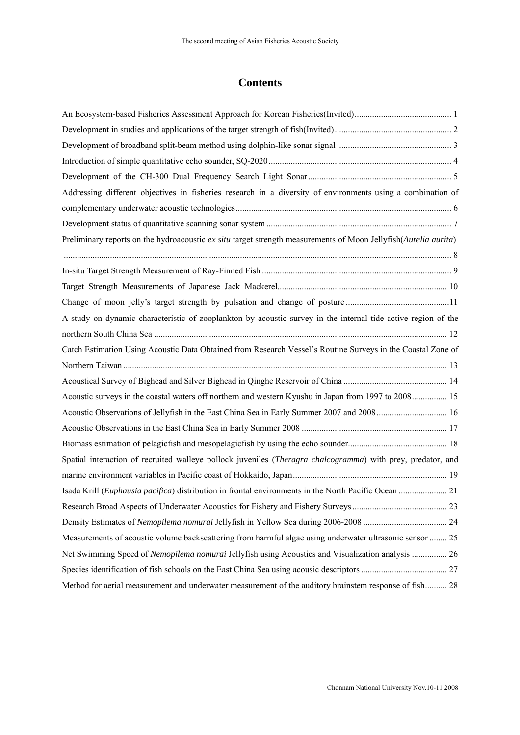# **Contents**

| Addressing different objectives in fisheries research in a diversity of environments using a combination of     |  |
|-----------------------------------------------------------------------------------------------------------------|--|
|                                                                                                                 |  |
|                                                                                                                 |  |
| Preliminary reports on the hydroacoustic ex situ target strength measurements of Moon Jellyfish(Aurelia aurita) |  |
|                                                                                                                 |  |
|                                                                                                                 |  |
|                                                                                                                 |  |
|                                                                                                                 |  |
| A study on dynamic characteristic of zooplankton by acoustic survey in the internal tide active region of the   |  |
|                                                                                                                 |  |
| Catch Estimation Using Acoustic Data Obtained from Research Vessel's Routine Surveys in the Coastal Zone of     |  |
|                                                                                                                 |  |
|                                                                                                                 |  |
| Acoustic surveys in the coastal waters off northern and western Kyushu in Japan from 1997 to 2008 15            |  |
| Acoustic Observations of Jellyfish in the East China Sea in Early Summer 2007 and 2008 16                       |  |
|                                                                                                                 |  |
|                                                                                                                 |  |
| Spatial interaction of recruited walleye pollock juveniles (Theragra chalcogramma) with prey, predator, and     |  |
|                                                                                                                 |  |
|                                                                                                                 |  |
|                                                                                                                 |  |
|                                                                                                                 |  |
| Measurements of acoustic volume backscattering from harmful algae using underwater ultrasonic sensor  25        |  |
| Net Swimming Speed of Nemopilema nomurai Jellyfish using Acoustics and Visualization analysis  26               |  |
|                                                                                                                 |  |
| Method for aerial measurement and underwater measurement of the auditory brainstem response of fish 28          |  |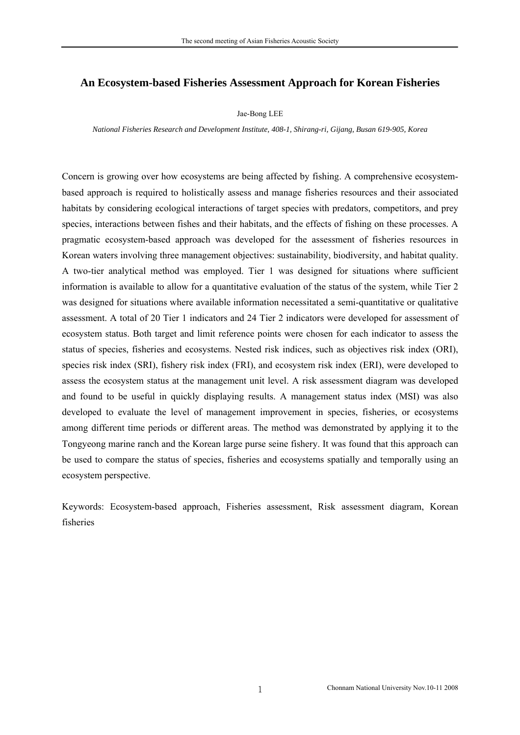### <span id="page-7-0"></span>**An Ecosystem-based Fisheries Assessment Approach for Korean Fisheries**

Jae-Bong LEE

*National Fisheries Research and Development Institute, 408-1, Shirang-ri, Gijang, Busan 619-905, Korea* 

Concern is growing over how ecosystems are being affected by fishing. A comprehensive ecosystembased approach is required to holistically assess and manage fisheries resources and their associated habitats by considering ecological interactions of target species with predators, competitors, and prey species, interactions between fishes and their habitats, and the effects of fishing on these processes. A pragmatic ecosystem-based approach was developed for the assessment of fisheries resources in Korean waters involving three management objectives: sustainability, biodiversity, and habitat quality. A two-tier analytical method was employed. Tier 1 was designed for situations where sufficient information is available to allow for a quantitative evaluation of the status of the system, while Tier 2 was designed for situations where available information necessitated a semi-quantitative or qualitative assessment. A total of 20 Tier 1 indicators and 24 Tier 2 indicators were developed for assessment of ecosystem status. Both target and limit reference points were chosen for each indicator to assess the status of species, fisheries and ecosystems. Nested risk indices, such as objectives risk index (ORI), species risk index (SRI), fishery risk index (FRI), and ecosystem risk index (ERI), were developed to assess the ecosystem status at the management unit level. A risk assessment diagram was developed and found to be useful in quickly displaying results. A management status index (MSI) was also developed to evaluate the level of management improvement in species, fisheries, or ecosystems among different time periods or different areas. The method was demonstrated by applying it to the Tongyeong marine ranch and the Korean large purse seine fishery. It was found that this approach can be used to compare the status of species, fisheries and ecosystems spatially and temporally using an ecosystem perspective.

Keywords: Ecosystem-based approach, Fisheries assessment, Risk assessment diagram, Korean fisheries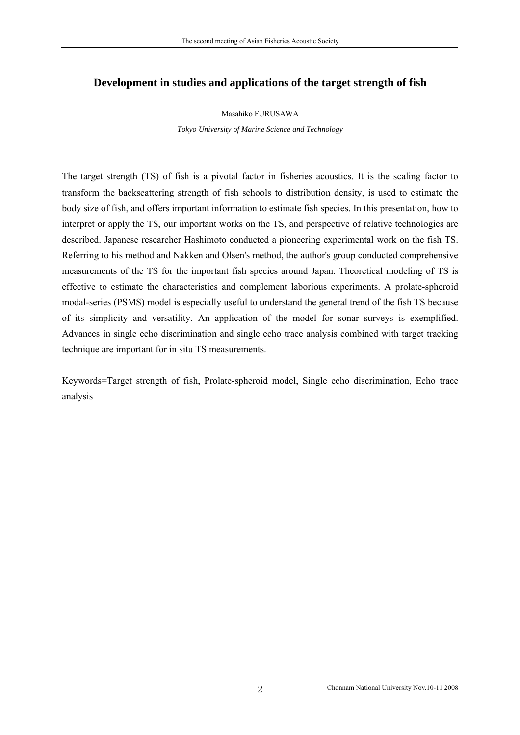### <span id="page-8-0"></span>**Development in studies and applications of the target strength of fish**

#### Masahiko FURUSAWA

*Tokyo University of Marine Science and Technology* 

The target strength (TS) of fish is a pivotal factor in fisheries acoustics. It is the scaling factor to transform the backscattering strength of fish schools to distribution density, is used to estimate the body size of fish, and offers important information to estimate fish species. In this presentation, how to interpret or apply the TS, our important works on the TS, and perspective of relative technologies are described. Japanese researcher Hashimoto conducted a pioneering experimental work on the fish TS. Referring to his method and Nakken and Olsen's method, the author's group conducted comprehensive measurements of the TS for the important fish species around Japan. Theoretical modeling of TS is effective to estimate the characteristics and complement laborious experiments. A prolate-spheroid modal-series (PSMS) model is especially useful to understand the general trend of the fish TS because of its simplicity and versatility. An application of the model for sonar surveys is exemplified. Advances in single echo discrimination and single echo trace analysis combined with target tracking technique are important for in situ TS measurements.

Keywords=Target strength of fish, Prolate-spheroid model, Single echo discrimination, Echo trace analysis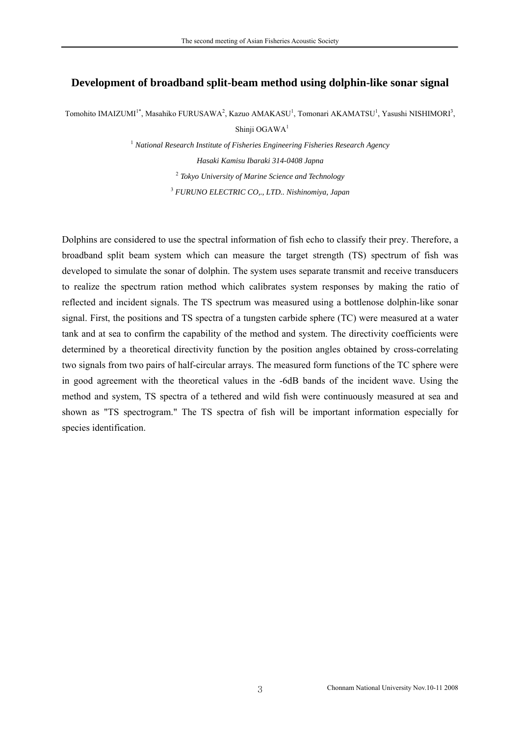### <span id="page-9-0"></span>**Development of broadband split-beam method using dolphin-like sonar signal**

Tomohito IMAIZUMI<sup>1\*</sup>, Masahiko FURUSAWA<sup>2</sup>, Kazuo AMAKASU<sup>1</sup>, Tomonari AKAMATSU<sup>1</sup>, Yasushi NISHIMORI<sup>3</sup>,

Shinji OGAWA<sup>1</sup>

  *National Research Institute of Fisheries Engineering Fisheries Research Agency Hasaki Kamisu Ibaraki 314-0408 Japna Tokyo University of Marine Science and Technology FURUNO ELECTRIC CO,., LTD.. Nishinomiya, Japan* 

Dolphins are considered to use the spectral information of fish echo to classify their prey. Therefore, a broadband split beam system which can measure the target strength (TS) spectrum of fish was developed to simulate the sonar of dolphin. The system uses separate transmit and receive transducers to realize the spectrum ration method which calibrates system responses by making the ratio of reflected and incident signals. The TS spectrum was measured using a bottlenose dolphin-like sonar signal. First, the positions and TS spectra of a tungsten carbide sphere (TC) were measured at a water tank and at sea to confirm the capability of the method and system. The directivity coefficients were determined by a theoretical directivity function by the position angles obtained by cross-correlating two signals from two pairs of half-circular arrays. The measured form functions of the TC sphere were in good agreement with the theoretical values in the -6dB bands of the incident wave. Using the method and system, TS spectra of a tethered and wild fish were continuously measured at sea and shown as "TS spectrogram." The TS spectra of fish will be important information especially for species identification.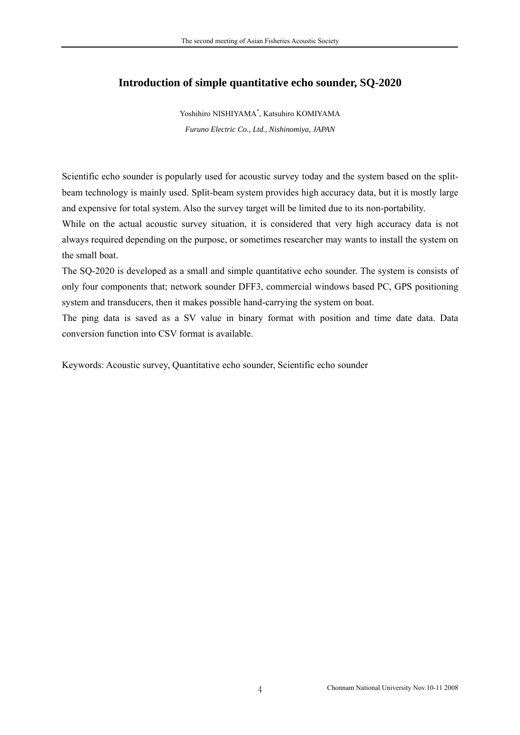### <span id="page-10-0"></span>**Introduction of simple quantitative echo sounder, SQ-2020**

Yoshihiro NISHIYAMA\* , Katsuhiro KOMIYAMA *Furuno Electric Co., Ltd., Nishinomiya, JAPAN* 

Scientific echo sounder is popularly used for acoustic survey today and the system based on the splitbeam technology is mainly used. Split-beam system provides high accuracy data, but it is mostly large and expensive for total system. Also the survey target will be limited due to its non-portability.

While on the actual acoustic survey situation, it is considered that very high accuracy data is not always required depending on the purpose, or sometimes researcher may wants to install the system on the small boat.

The SQ-2020 is developed as a small and simple quantitative echo sounder. The system is consists of only four components that; network sounder DFF3, commercial windows based PC, GPS positioning system and transducers, then it makes possible hand-carrying the system on boat.

The ping data is saved as a SV value in binary format with position and time date data. Data conversion function into CSV format is available.

Keywords: Acoustic survey, Quantitative echo sounder, Scientific echo sounder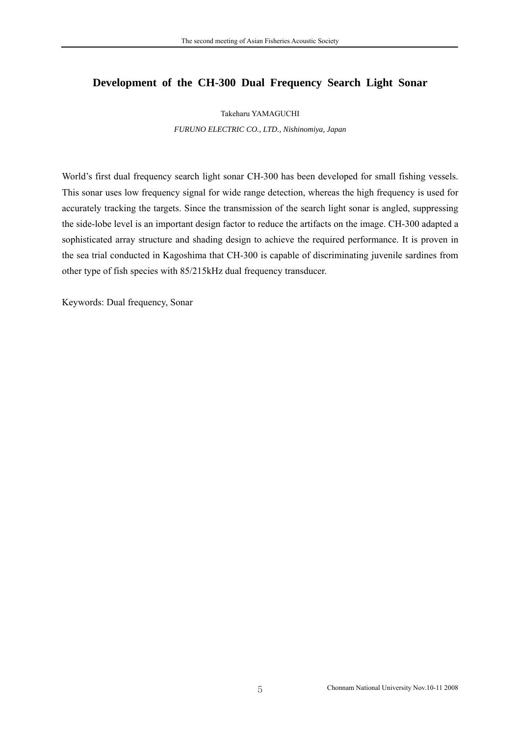### <span id="page-11-0"></span>**Development of the CH-300 Dual Frequency Search Light Sonar**

#### Takeharu YAMAGUCHI

*FURUNO ELECTRIC CO., LTD., Nishinomiya, Japan* 

World's first dual frequency search light sonar CH-300 has been developed for small fishing vessels. This sonar uses low frequency signal for wide range detection, whereas the high frequency is used for accurately tracking the targets. Since the transmission of the search light sonar is angled, suppressing the side-lobe level is an important design factor to reduce the artifacts on the image. CH-300 adapted a sophisticated array structure and shading design to achieve the required performance. It is proven in the sea trial conducted in Kagoshima that CH-300 is capable of discriminating juvenile sardines from other type of fish species with 85/215kHz dual frequency transducer.

Keywords: Dual frequency, Sonar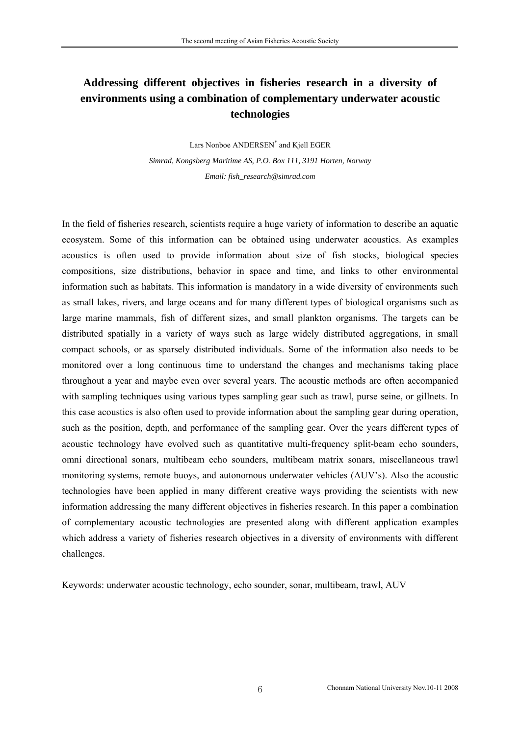# <span id="page-12-0"></span>**Addressing different objectives in fisheries research in a diversity of environments using a combination of complementary underwater acoustic technologies**

Lars Nonboe ANDERSEN\* and Kjell EGER *Simrad, Kongsberg Maritime AS, P.O. Box 111, 3191 Horten, Norway Email: fish\_research@simrad.com* 

In the field of fisheries research, scientists require a huge variety of information to describe an aquatic ecosystem. Some of this information can be obtained using underwater acoustics. As examples acoustics is often used to provide information about size of fish stocks, biological species compositions, size distributions, behavior in space and time, and links to other environmental information such as habitats. This information is mandatory in a wide diversity of environments such as small lakes, rivers, and large oceans and for many different types of biological organisms such as large marine mammals, fish of different sizes, and small plankton organisms. The targets can be distributed spatially in a variety of ways such as large widely distributed aggregations, in small compact schools, or as sparsely distributed individuals. Some of the information also needs to be monitored over a long continuous time to understand the changes and mechanisms taking place throughout a year and maybe even over several years. The acoustic methods are often accompanied with sampling techniques using various types sampling gear such as trawl, purse seine, or gillnets. In this case acoustics is also often used to provide information about the sampling gear during operation, such as the position, depth, and performance of the sampling gear. Over the years different types of acoustic technology have evolved such as quantitative multi-frequency split-beam echo sounders, omni directional sonars, multibeam echo sounders, multibeam matrix sonars, miscellaneous trawl monitoring systems, remote buoys, and autonomous underwater vehicles (AUV's). Also the acoustic technologies have been applied in many different creative ways providing the scientists with new information addressing the many different objectives in fisheries research. In this paper a combination of complementary acoustic technologies are presented along with different application examples which address a variety of fisheries research objectives in a diversity of environments with different challenges.

Keywords: underwater acoustic technology, echo sounder, sonar, multibeam, trawl, AUV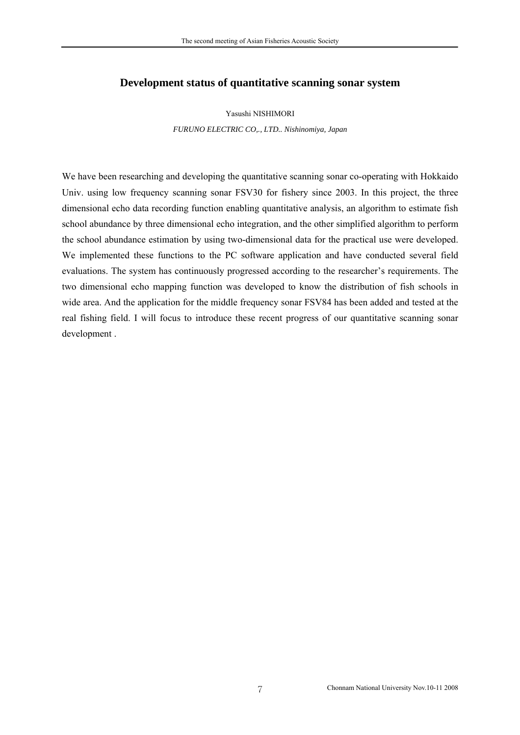### <span id="page-13-0"></span>**Development status of quantitative scanning sonar system**

Yasushi NISHIMORI

*FURUNO ELECTRIC CO,., LTD.. Nishinomiya, Japan* 

We have been researching and developing the quantitative scanning sonar co-operating with Hokkaido Univ. using low frequency scanning sonar FSV30 for fishery since 2003. In this project, the three dimensional echo data recording function enabling quantitative analysis, an algorithm to estimate fish school abundance by three dimensional echo integration, and the other simplified algorithm to perform the school abundance estimation by using two-dimensional data for the practical use were developed. We implemented these functions to the PC software application and have conducted several field evaluations. The system has continuously progressed according to the researcher's requirements. The two dimensional echo mapping function was developed to know the distribution of fish schools in wide area. And the application for the middle frequency sonar FSV84 has been added and tested at the real fishing field. I will focus to introduce these recent progress of our quantitative scanning sonar development .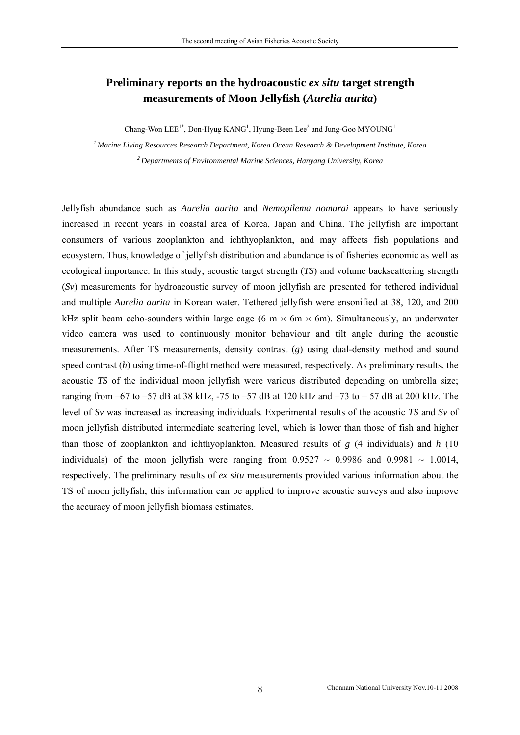## <span id="page-14-0"></span>**Preliminary reports on the hydroacoustic** *ex situ* **target strength measurements of Moon Jellyfish (***Aurelia aurita***)**

Chang-Won  $\text{LEE}^{1*}$ , Don-Hyug KANG<sup>1</sup>, Hyung-Been Lee<sup>2</sup> and Jung-Goo MYOUNG<sup>1</sup>

*1 Marine Living Resources Research Department, Korea Ocean Research & Development Institute, Korea* 

*2 Departments of Environmental Marine Sciences, Hanyang University, Korea* 

Jellyfish abundance such as *Aurelia aurita* and *Nemopilema nomurai* appears to have seriously increased in recent years in coastal area of Korea, Japan and China. The jellyfish are important consumers of various zooplankton and ichthyoplankton, and may affects fish populations and ecosystem. Thus, knowledge of jellyfish distribution and abundance is of fisheries economic as well as ecological importance. In this study, acoustic target strength (*TS*) and volume backscattering strength (*Sv*) measurements for hydroacoustic survey of moon jellyfish are presented for tethered individual and multiple *Aurelia aurita* in Korean water. Tethered jellyfish were ensonified at 38, 120, and 200 kHz split beam echo-sounders within large cage (6 m  $\times$  6m  $\times$  6m). Simultaneously, an underwater video camera was used to continuously monitor behaviour and tilt angle during the acoustic measurements. After TS measurements, density contrast (*g*) using dual-density method and sound speed contrast (*h*) using time-of-flight method were measured, respectively. As preliminary results, the acoustic *TS* of the individual moon jellyfish were various distributed depending on umbrella size; ranging from  $-67$  to  $-57$  dB at 38 kHz,  $-75$  to  $-57$  dB at 120 kHz and  $-73$  to  $-57$  dB at 200 kHz. The level of *Sv* was increased as increasing individuals. Experimental results of the acoustic *TS* and *Sv* of moon jellyfish distributed intermediate scattering level, which is lower than those of fish and higher than those of zooplankton and ichthyoplankton. Measured results of *g* (4 individuals) and *h* (10 individuals) of the moon jellyfish were ranging from  $0.9527 \sim 0.9986$  and  $0.9981 \sim 1.0014$ , respectively. The preliminary results of *ex situ* measurements provided various information about the TS of moon jellyfish; this information can be applied to improve acoustic surveys and also improve the accuracy of moon jellyfish biomass estimates.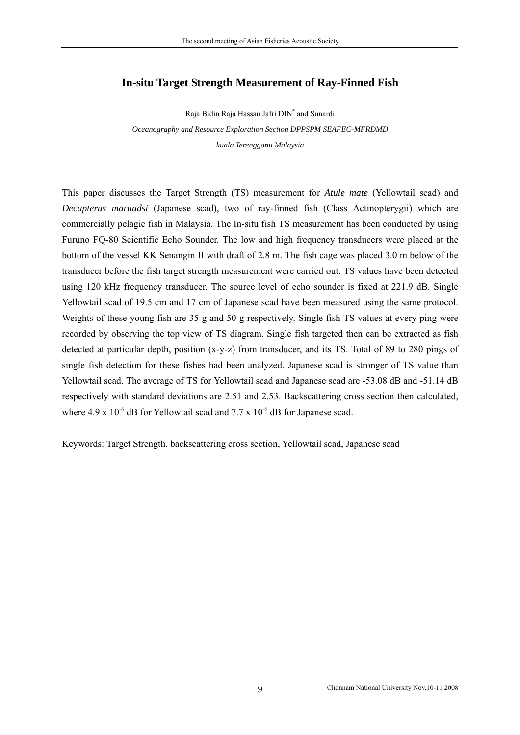### <span id="page-15-0"></span>**In-situ Target Strength Measurement of Ray-Finned Fish**

Raja Bidin Raja Hassan Jafri DIN\* and Sunardi *Oceanography and Resource Exploration Section DPPSPM SEAFEC-MFRDMD kuala Terengganu Malaysia* 

This paper discusses the Target Strength (TS) measurement for *Atule mate* (Yellowtail scad) and *Decapterus maruadsi* (Japanese scad), two of ray-finned fish (Class Actinopterygii) which are commercially pelagic fish in Malaysia. The In-situ fish TS measurement has been conducted by using Furuno FQ-80 Scientific Echo Sounder. The low and high frequency transducers were placed at the bottom of the vessel KK Senangin II with draft of 2.8 m. The fish cage was placed 3.0 m below of the transducer before the fish target strength measurement were carried out. TS values have been detected using 120 kHz frequency transducer. The source level of echo sounder is fixed at 221.9 dB. Single Yellowtail scad of 19.5 cm and 17 cm of Japanese scad have been measured using the same protocol. Weights of these young fish are 35 g and 50 g respectively. Single fish TS values at every ping were recorded by observing the top view of TS diagram. Single fish targeted then can be extracted as fish detected at particular depth, position (x-y-z) from transducer, and its TS. Total of 89 to 280 pings of single fish detection for these fishes had been analyzed. Japanese scad is stronger of TS value than Yellowtail scad. The average of TS for Yellowtail scad and Japanese scad are -53.08 dB and -51.14 dB respectively with standard deviations are 2.51 and 2.53. Backscattering cross section then calculated, where 4.9 x  $10^{-6}$  dB for Yellowtail scad and 7.7 x  $10^{-6}$  dB for Japanese scad.

Keywords: Target Strength, backscattering cross section, Yellowtail scad, Japanese scad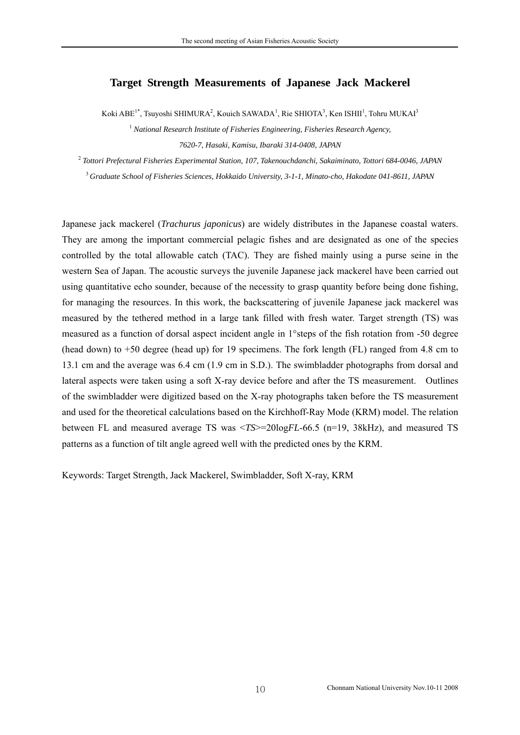### <span id="page-16-0"></span>**Target Strength Measurements of Japanese Jack Mackerel**

Koki ABE<sup>1\*</sup>, Tsuyoshi SHIMURA<sup>2</sup>, Kouich SAWADA<sup>1</sup>, Rie SHIOTA<sup>3</sup>, Ken ISHII<sup>1</sup>, Tohru MUKAI<sup>3</sup>

<sup>1</sup> National Research Institute of Fisheries Engineering, Fisheries Research Agency, *7620-7, Hasaki, Kamisu, Ibaraki 314-0408, JAPAN* 

<sup>2</sup> *Tottori Prefectural Fisheries Experimental Station, 107, Takenouchdanchi, Sakaiminato, Tottori 684-0046, JAPAN* 

<sup>3</sup>*Graduate School of Fisheries Sciences, Hokkaido University, 3-1-1, Minato-cho, Hakodate 041-8611, JAPAN*

Japanese jack mackerel (*Trachurus japonicus*) are widely distributes in the Japanese coastal waters. They are among the important commercial pelagic fishes and are designated as one of the species controlled by the total allowable catch (TAC). They are fished mainly using a purse seine in the western Sea of Japan. The acoustic surveys the juvenile Japanese jack mackerel have been carried out using quantitative echo sounder, because of the necessity to grasp quantity before being done fishing, for managing the resources. In this work, the backscattering of juvenile Japanese jack mackerel was measured by the tethered method in a large tank filled with fresh water. Target strength (TS) was measured as a function of dorsal aspect incident angle in 1°steps of the fish rotation from -50 degree (head down) to +50 degree (head up) for 19 specimens. The fork length (FL) ranged from 4.8 cm to 13.1 cm and the average was 6.4 cm (1.9 cm in S.D.). The swimbladder photographs from dorsal and lateral aspects were taken using a soft X-ray device before and after the TS measurement. Outlines of the swimbladder were digitized based on the X-ray photographs taken before the TS measurement and used for the theoretical calculations based on the Kirchhoff-Ray Mode (KRM) model. The relation between FL and measured average TS was <*TS*>=20log*FL*-66.5 (n=19, 38kHz), and measured TS patterns as a function of tilt angle agreed well with the predicted ones by the KRM.

Keywords: Target Strength, Jack Mackerel, Swimbladder, Soft X-ray, KRM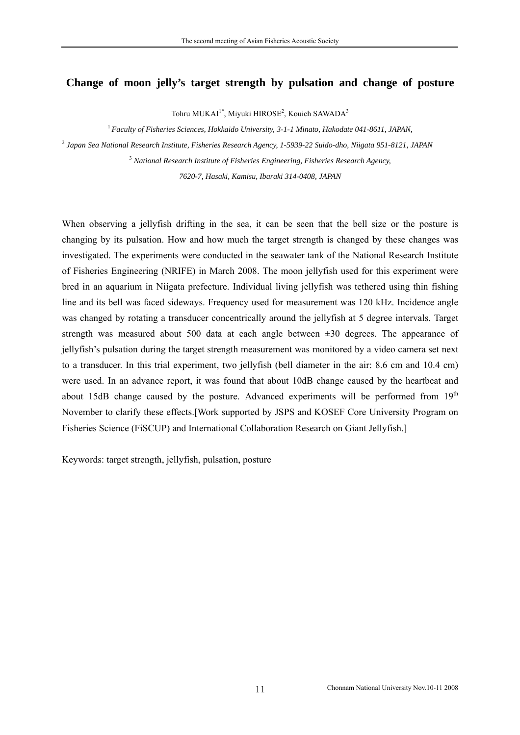### <span id="page-17-0"></span>**Change of moon jelly's target strength by pulsation and change of posture**

Tohru MUKAI<sup>1\*</sup>, Miyuki HIROSE<sup>2</sup>, Kouich SAWADA<sup>3</sup>

<sup>1</sup>*Faculty of Fisheries Sciences, Hokkaido University, 3-1-1 Minato, Hakodate 041-8611, JAPAN,*

2  *Japan Sea National Research Institute, Fisheries Research Agency, 1-5939-22 Suido-dho, Niigata 951-8121, JAPAN* 

3  *National Research Institute of Fisheries Engineering, Fisheries Research Agency,* 

*7620-7, Hasaki, Kamisu, Ibaraki 314-0408, JAPAN*

When observing a jellyfish drifting in the sea, it can be seen that the bell size or the posture is changing by its pulsation. How and how much the target strength is changed by these changes was investigated. The experiments were conducted in the seawater tank of the National Research Institute of Fisheries Engineering (NRIFE) in March 2008. The moon jellyfish used for this experiment were bred in an aquarium in Niigata prefecture. Individual living jellyfish was tethered using thin fishing line and its bell was faced sideways. Frequency used for measurement was 120 kHz. Incidence angle was changed by rotating a transducer concentrically around the jellyfish at 5 degree intervals. Target strength was measured about 500 data at each angle between ±30 degrees. The appearance of jellyfish's pulsation during the target strength measurement was monitored by a video camera set next to a transducer. In this trial experiment, two jellyfish (bell diameter in the air: 8.6 cm and 10.4 cm) were used. In an advance report, it was found that about 10dB change caused by the heartbeat and about 15dB change caused by the posture. Advanced experiments will be performed from 19<sup>th</sup> November to clarify these effects.[Work supported by JSPS and KOSEF Core University Program on Fisheries Science (FiSCUP) and International Collaboration Research on Giant Jellyfish.]

Keywords: target strength, jellyfish, pulsation, posture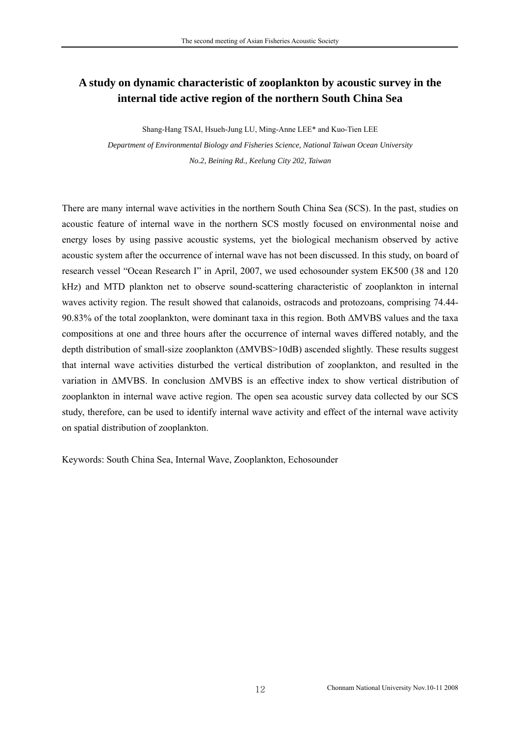# <span id="page-18-0"></span>**A study on dynamic characteristic of zooplankton by acoustic survey in the internal tide active region of the northern South China Sea**

Shang-Hang TSAI, Hsueh-Jung LU, Ming-Anne LEE\* and Kuo-Tien LEE *Department of Environmental Biology and Fisheries Science, National Taiwan Ocean University No.2, Beining Rd., Keelung City 202, Taiwan* 

There are many internal wave activities in the northern South China Sea (SCS). In the past, studies on acoustic feature of internal wave in the northern SCS mostly focused on environmental noise and energy loses by using passive acoustic systems, yet the biological mechanism observed by active acoustic system after the occurrence of internal wave has not been discussed. In this study, on board of research vessel "Ocean Research I" in April, 2007, we used echosounder system EK500 (38 and 120 kHz) and MTD plankton net to observe sound-scattering characteristic of zooplankton in internal waves activity region. The result showed that calanoids, ostracods and protozoans, comprising 74.44- 90.83% of the total zooplankton, were dominant taxa in this region. Both ∆MVBS values and the taxa compositions at one and three hours after the occurrence of internal waves differed notably, and the depth distribution of small-size zooplankton (∆MVBS>10dB) ascended slightly. These results suggest that internal wave activities disturbed the vertical distribution of zooplankton, and resulted in the variation in ∆MVBS. In conclusion ∆MVBS is an effective index to show vertical distribution of zooplankton in internal wave active region. The open sea acoustic survey data collected by our SCS study, therefore, can be used to identify internal wave activity and effect of the internal wave activity on spatial distribution of zooplankton.

Keywords: South China Sea, Internal Wave, Zooplankton, Echosounder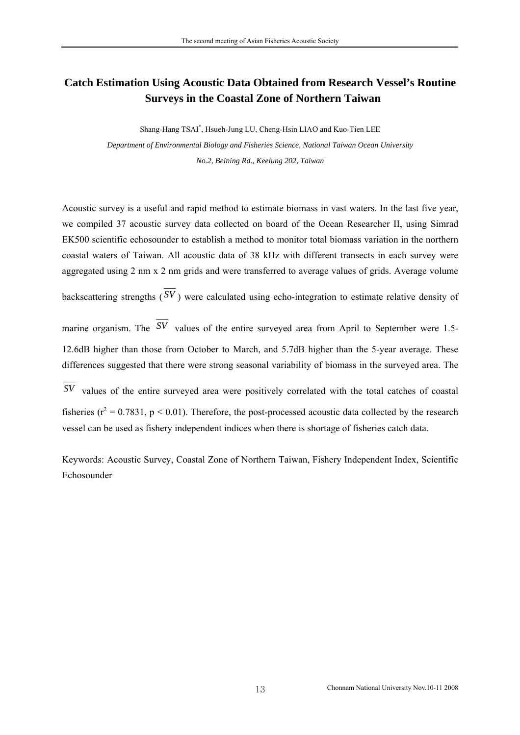# <span id="page-19-0"></span>**Catch Estimation Using Acoustic Data Obtained from Research Vessel's Routine Surveys in the Coastal Zone of Northern Taiwan**

Shang-Hang TSAI\* , Hsueh-Jung LU, Cheng-Hsin LIAO and Kuo-Tien LEE *Department of Environmental Biology and Fisheries Science, National Taiwan Ocean University No.2, Beining Rd., Keelung 202, Taiwan* 

Acoustic survey is a useful and rapid method to estimate biomass in vast waters. In the last five year, we compiled 37 acoustic survey data collected on board of the Ocean Researcher II, using Simrad EK500 scientific echosounder to establish a method to monitor total biomass variation in the northern coastal waters of Taiwan. All acoustic data of 38 kHz with different transects in each survey were aggregated using 2 nm x 2 nm grids and were transferred to average values of grids. Average volume

backscattering strengths  $(\overline{SV})$  were calculated using echo-integration to estimate relative density of

marine organism. The  $\overline{SV}$  values of the entire surveyed area from April to September were 1.5-12.6dB higher than those from October to March, and 5.7dB higher than the 5-year average. These differences suggested that there were strong seasonal variability of biomass in the surveyed area. The

 $\overline{SV}$  values of the entire surveyed area were positively correlated with the total catches of coastal vessel can be used as fishery independent indices when there is shortage of fisheries catch data. fisheries ( $r^2 = 0.7831$ ,  $p < 0.01$ ). Therefore, the post-processed acoustic data collected by the research

Keywords: Acoustic Survey, Coastal Zone of Northern Taiwan, Fishery Independent Index, Scientific Echosounder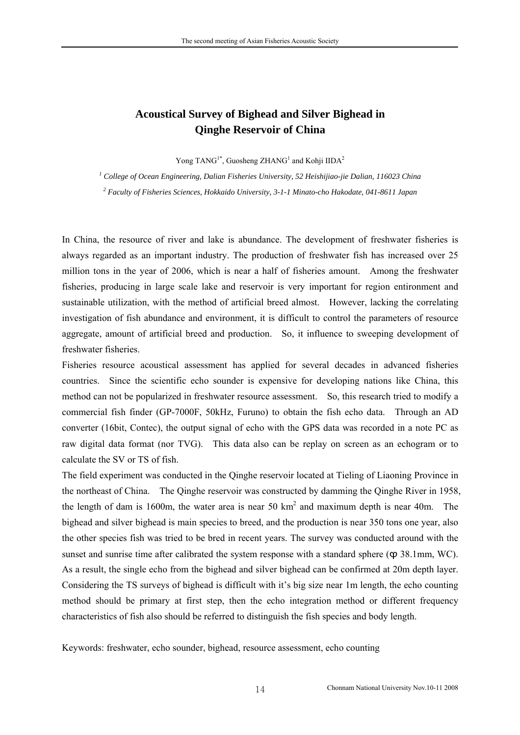# <span id="page-20-0"></span>**Acoustical Survey of Bighead and Silver Bighead in Qinghe Reservoir of China**

Yong TANG<sup>1\*</sup>, Guosheng ZHANG<sup>1</sup> and Kohji IIDA<sup>2</sup>

*1 College of Ocean Engineering, Dalian Fisheries University, 52 Heishijiao-jie Dalian, 116023 China* 

*2 Faculty of Fisheries Sciences, Hokkaido University, 3-1-1 Minato-cho Hakodate, 041-8611 Japan*

investigation of fish abundance and environment, it is difficult to control the parameters of resource In China, the resource of river and lake is abundance. The development of freshwater fisheries is always regarded as an important industry. The production of freshwater fish has increased over 25 million tons in the year of 2006, which is near a half of fisheries amount. Among the freshwater fisheries, producing in large scale lake and reservoir is very important for region entironment and sustainable utilization, with the method of artificial breed almost. However, lacking the correlating aggregate, amount of artificial breed and production. So, it influence to sweeping development of freshwater fisheries.

converter (16bit, Contec), the output signal of echo with the GPS data was recorded in a note PC as Fisheries resource acoustical assessment has applied for several decades in advanced fisheries countries. Since the scientific echo sounder is expensive for developing nations like China, this method can not be popularized in freshwater resource assessment. So, this research tried to modify a commercial fish finder (GP-7000F, 50kHz, Furuno) to obtain the fish echo data. Through an AD raw digital data format (nor TVG). This data also can be replay on screen as an echogram or to calculate the SV or TS of fish.

Considering the TS surveys of bighead is difficult with it's big size near 1m length, the echo counting method should be primary at first step, then the echo integration method or different frequency characteristics of fish also should be referred to distinguish the fish species and body length. The field experiment was conducted in the Qinghe reservoir located at Tieling of Liaoning Province in the northeast of China. The Qinghe reservoir was constructed by damming the Qinghe River in 1958, the length of dam is 1600m, the water area is near 50  $km^2$  and maximum depth is near 40m. The bighead and silver bighead is main species to breed, and the production is near 350 tons one year, also the other species fish was tried to be bred in recent years. The survey was conducted around with the sunset and sunrise time after calibrated the system response with a standard sphere ( $\varphi$  38.1mm, WC). As a result, the single echo from the bighead and silver bighead can be confirmed at 20m depth layer.

Keywords: freshwater, echo sounder, bighead, resource assessment, echo counting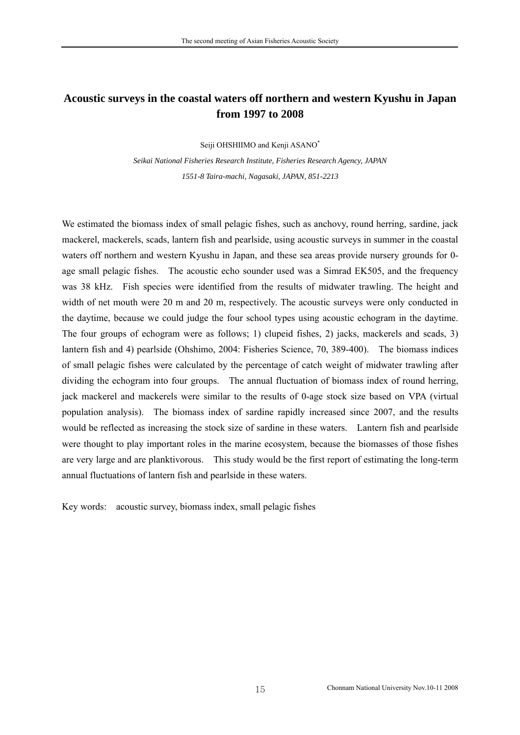# <span id="page-21-0"></span>Acoustic surveys in the coastal waters off northern and western Kyushu in Japan **from 1997 to 2008**

Seiji OHSHIIMO and Kenji ASANO\*

 $S$ eikai National Fisheries Research Institute, Fisheries Research Agency, JAPAN *1551-8 Taira-machi, Nagasaki, JAPAN, 851-2213*

are very large and are planktivorous. This study would be the first report of estimating the long-term nnual fluctuations of lantern fish and pearlside in these waters. a We estimated the biomass index of small pelagic fishes, such as anchovy, round herring, sardine, jack mackerel, mackerels, scads, lantern fish and pearlside, using acoustic surveys in summer in the coastal waters off northern and western Kyushu in Japan, and these sea areas provide nursery grounds for 0 age small pelagic fishes. The acoustic echo sounder used was a Simrad EK505, and the frequency was 38 kHz. Fish species were identified from the results of midwater trawling. The height and width of net mouth were 20 m and 20 m, respectively. The acoustic surveys were only conducted in the daytime, because we could judge the four school types using acoustic echogram in the daytime. The four groups of echogram were as follows; 1) clupeid fishes, 2) jacks, mackerels and scads, 3) lantern fish and 4) pearlside (Ohshimo, 2004: Fisheries Science, 70, 389-400). The biomass indices of small pelagic fishes were calculated by the percentage of catch weight of midwater trawling after dividing the echogram into four groups. The annual fluctuation of biomass index of round herring, jack mackerel and mackerels were similar to the results of 0-age stock size based on VPA (virtual population analysis). The biomass index of sardine rapidly increased since 2007, and the results would be reflected as increasing the stock size of sardine in these waters. Lantern fish and pearlside were thought to play important roles in the marine ecosystem, because the biomasses of those fishes

Key words: acoustic survey, biomass index, small pelagic fishes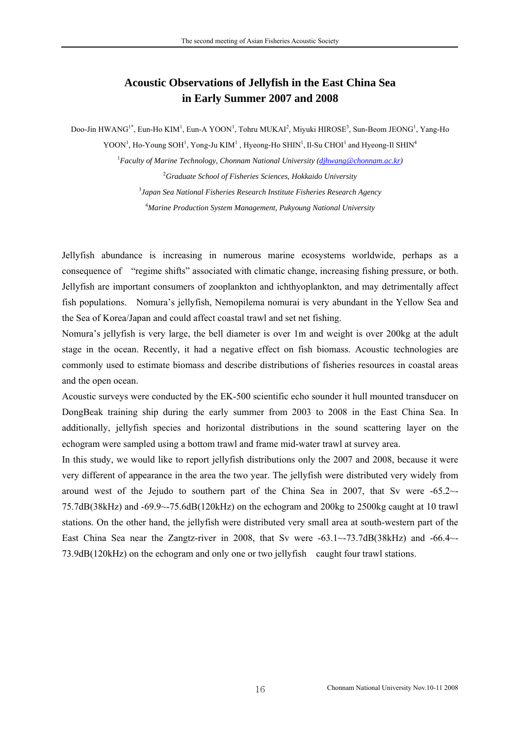## **Acoustic Observations of Jellyfish in the East China Sea in Early Summer 2007 and 2008**

<span id="page-22-0"></span>Doo-Jin HWANG<sup>1\*</sup>, Eun-Ho KIM<sup>1</sup>, Eun-A YOON<sup>1</sup>, Tohru MUKAI<sup>2</sup>, Miyuki HIROSE<sup>3</sup>, Sun-Beom JEONG<sup>1</sup>, Yang-Ho YOON<sup>1</sup>, Ho-Young SOH<sup>1</sup>, Yong-Ju KIM<sup>1</sup>, Hyeong-Ho SHIN<sup>1</sup>, Il-Su CHOI<sup>1</sup> and Hyeong-Il SHIN<sup>4</sup>

> <sup>1</sup> Faculty of Marine Technology, Chonnam National University (dihwang@chonnam.ac.kr) *Graduate School of Fisheries Sciences, Hokkaido University Japan Sea National Fisheries Research Institute Fisheries Research Agency Marine Production System Management, Pukyoung National University*

Jellyfish abundance is increasing in numerous marine ecosystems worldwide, perhaps as a consequence of "regime shifts" associated with climatic change, increasing fishing pressure, or both. Jellyfish are important consumers of zooplankton and ichthyoplankton, and may detrimentally affect fish populations. Nomura's jellyfish, Nemopilema nomurai is very abundant in the Yellow Sea and the Sea of Korea/Japan and could affect coastal trawl and set net fishing.

Nomura's jellyfish is very large, the bell diameter is over 1m and weight is over 200kg at the adult stage in the ocean. Recently, it had a negative effect on fish biomass. Acoustic technologies are commonly used to estimate biomass and describe distributions of fisheries resources in coastal areas and the open ocean.

Acoustic surveys were conducted by the EK-500 scientific echo sounder it hull mounted transducer on DongBeak training ship during the early summer from 2003 to 2008 in the East China Sea. In additionally, jellyfish species and horizontal distributions in the sound scattering layer on the echogram were sampled using a bottom trawl and frame mid-water trawl at survey area.

In this study, we would like to report jellyfish distributions only the 2007 and 2008, because it were very different of appearance in the area the two year. The jellyfish were distributed very widely from around west of the Jejudo to southern part of the China Sea in 2007, that Sv were -65.2~- 75.7dB(38kHz) and -69.9~-75.6dB(120kHz) on the echogram and 200kg to 2500kg caught at 10 trawl stations. On the other hand, the jellyfish were distributed very small area at south-western part of the East China Sea near the Zangtz-river in 2008, that Sv were  $-63.1 \sim 73.7$ dB(38kHz) and  $-66.4 \sim$ 73.9dB(120kHz) on the echogram and only one or two jellyfish caught four trawl stations.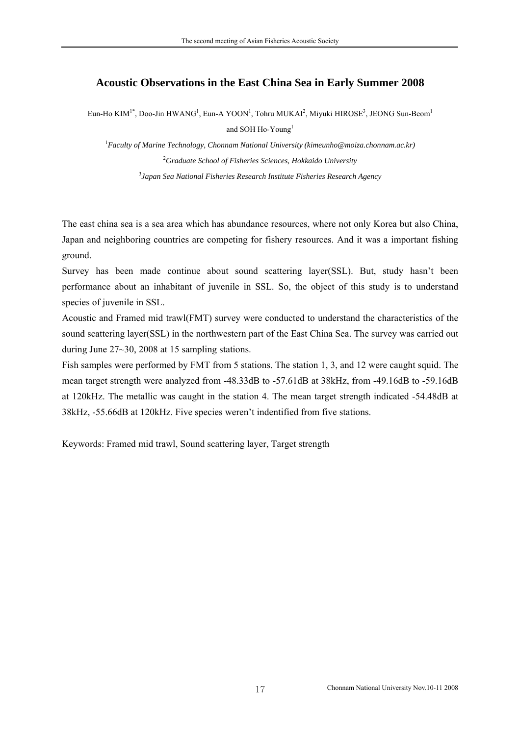### <span id="page-23-0"></span>**Acoustic Observations in the East China Sea in Early Summer 2008**

Eun-Ho KIM<sup>1\*</sup>, Doo-Jin HWANG<sup>1</sup>, Eun-A YOON<sup>1</sup>, Tohru MUKAI<sup>2</sup>, Miyuki HIROSE<sup>3</sup>, JEONG Sun-Beom<sup>1</sup> and SOH Ho-Young<sup>1</sup>

1 *Faculty of Marine Technology, Chonnam National University (kimeunho@moiza.chonnam.ac.kr)* 2 *Graduate School of Fisheries Sciences, Hokkaido University*  3 *Japan Sea National Fisheries Research Institute Fisheries Research Agency*

The east china sea is a sea area which has abundance resources, where not only Korea but also China, Japan and neighboring countries are competing for fishery resources. And it was a important fishing ground.

Survey has been made continue about sound scattering layer(SSL). But, study hasn't been performance about an inhabitant of juvenile in SSL. So, the object of this study is to understand species of juvenile in SSL.

Acoustic and Framed mid trawl(FMT) survey were conducted to understand the characteristics of the sound scattering layer(SSL) in the northwestern part of the East China Sea. The survey was carried out during June 27~30, 2008 at 15 sampling stations.

Fish samples were performed by FMT from 5 stations. The station 1, 3, and 12 were caught squid. The mean target strength were analyzed from -48.33dB to -57.61dB at 38kHz, from -49.16dB to -59.16dB at 120kHz. The metallic was caught in the station 4. The mean target strength indicated -54.48dB at 38kHz, -55.66dB at 120kHz. Five species weren't indentified from five stations.

Keywords: Framed mid trawl, Sound scattering layer, Target strength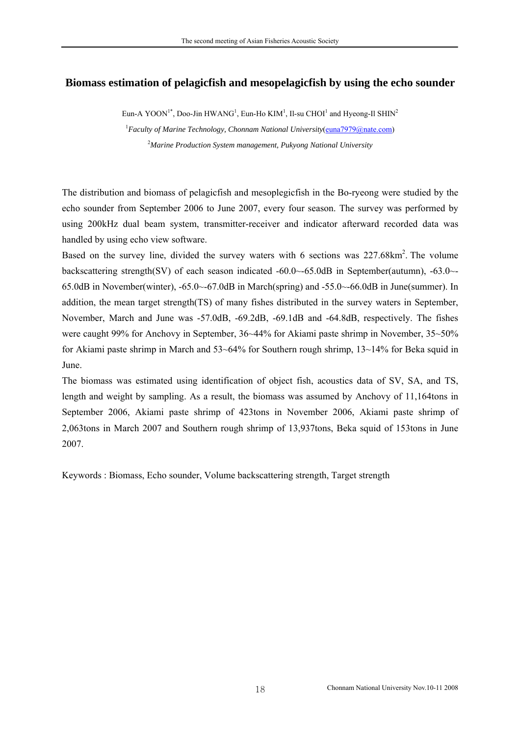### <span id="page-24-0"></span>**Biomass estimation of pelagicfish and mesopelagicfish by using the echo sounder**

Eun-A YOON<sup>1\*</sup>, Doo-Jin HWANG<sup>1</sup>, Eun-Ho KIM<sup>1</sup>, Il-su CHOI<sup>1</sup> and Hyeong-Il SHIN<sup>2</sup> <sup>1</sup> Faculty of Marine Technology, Chonnam National University(**cuna7979@nate.com)** 2 *Marine Production System management, Pukyong National University* 

The distribution and biomass of pelagicfish and mesoplegicfish in the Bo-ryeong were studied by the echo sounder from September 2006 to June 2007, every four season. The survey was performed by using 200kHz dual beam system, transmitter-receiver and indicator afterward recorded data was handled by using echo view software.

Based on the survey line, divided the survey waters with 6 sections was  $227.68 \text{km}^2$ . The volume backscattering strength(SV) of each season indicated -60.0 $\sim$ -65.0dB in September(autumn), -63.0 $\sim$ -65.0dB in November(winter), -65.0~-67.0dB in March(spring) and -55.0~-66.0dB in June(summer). In addition, the mean target strength(TS) of many fishes distributed in the survey waters in September, November, March and June was -57.0dB, -69.2dB, -69.1dB and -64.8dB, respectively. The fishes were caught 99% for Anchovy in September, 36~44% for Akiami paste shrimp in November, 35~50% for Akiami paste shrimp in March and 53~64% for Southern rough shrimp, 13~14% for Beka squid in June.

The biomass was estimated using identification of object fish, acoustics data of SV, SA, and TS, length and weight by sampling. As a result, the biomass was assumed by Anchovy of 11,164tons in September 2006, Akiami paste shrimp of 423tons in November 2006, Akiami paste shrimp of 2,063tons in March 2007 and Southern rough shrimp of 13,937tons, Beka squid of 153tons in June 2007.

Keywords : Biomass, Echo sounder, Volume backscattering strength, Target strength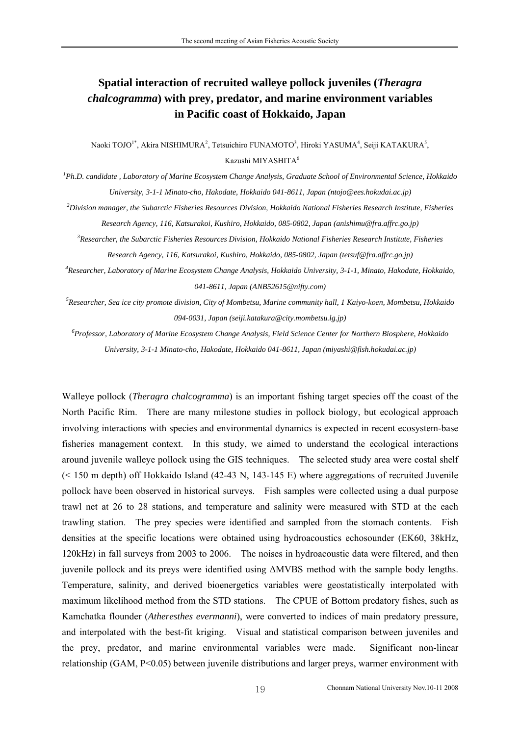# <span id="page-25-0"></span>**Spatial interaction of recruited walleye pollock juveniles (***Theragra chalcogramma***) with prey, predator, and marine environment variables in Pacific coast of Hokkaido, Japan**

Naoki TOJO<sup>1\*</sup>, Akira NISHIMURA<sup>2</sup>, Tetsuichiro FUNAMOTO<sup>3</sup>, Hiroki YASUMA<sup>4</sup>, Seiji KATAKURA<sup>5</sup>, Kazushi MIYASHITA<sup>6</sup>

*1 Ph.D. candidate , Laboratory of Marine Ecosystem Change Analysis, Graduate School of Environmental Science, Hokkaido University, 3-1-1 Minato-cho, Hakodate, Hokkaido 041-8611, Japan (ntojo@ees.hokudai.ac.jp)*

*2 Division manager, the Subarctic Fisheries Resources Division, Hokkaido National Fisheries Research Institute, Fisheries Research Agency, 116, Katsurakoi, Kushiro, Hokkaido, 085-0802, Japan (anishimu@fra.affrc.go.jp)*

*3 Researcher, the Subarctic Fisheries Resources Division, Hokkaido National Fisheries Research Institute, Fisheries Research Agency, 116, Katsurakoi, Kushiro, Hokkaido, 085-0802, Japan (tetsuf@fra.affrc.go.jp)*

*4 Researcher, Laboratory of Marine Ecosystem Change Analysis, Hokkaido University, 3-1-1, Minato, Hakodate, Hokkaido, 041-8611, Japan (ANB52615@nifty.com)*

*5 Researcher, Sea ice city promote division, City of Mombetsu, Marine community hall, 1 Kaiyo-koen, Mombetsu, Hokkaido 094-0031, Japan (seiji.katakura@city.mombetsu.lg.jp)*

*6 Professor, Laboratory of Marine Ecosystem Change Analysis, Field Science Center for Northern Biosphere, Hokkaido University, 3-1-1 Minato-cho, Hakodate, Hokkaido 041-8611, Japan (miyashi@fish.hokudai.ac.jp)*

Walleye pollock (*Theragra chalcogramma*) is an important fishing target species off the coast of the North Pacific Rim. There are many milestone studies in pollock biology, but ecological approach involving interactions with species and environmental dynamics is expected in recent ecosystem-base fisheries management context. In this study, we aimed to understand the ecological interactions around juvenile walleye pollock using the GIS techniques. The selected study area were costal shelf (< 150 m depth) off Hokkaido Island (42-43 N, 143-145 E) where aggregations of recruited Juvenile pollock have been observed in historical surveys. Fish samples were collected using a dual purpose trawl net at 26 to 28 stations, and temperature and salinity were measured with STD at the each trawling station. The prey species were identified and sampled from the stomach contents. Fish densities at the specific locations were obtained using hydroacoustics echosounder (EK60, 38kHz, 120kHz) in fall surveys from 2003 to 2006. The noises in hydroacoustic data were filtered, and then juvenile pollock and its preys were identified using ∆MVBS method with the sample body lengths. Temperature, salinity, and derived bioenergetics variables were geostatistically interpolated with maximum likelihood method from the STD stations. The CPUE of Bottom predatory fishes, such as Kamchatka flounder (*Atheresthes evermanni*), were converted to indices of main predatory pressure, and interpolated with the best-fit kriging. Visual and statistical comparison between juveniles and the prey, predator, and marine environmental variables were made. Significant non-linear relationship (GAM, P<0.05) between juvenile distributions and larger preys, warmer environment with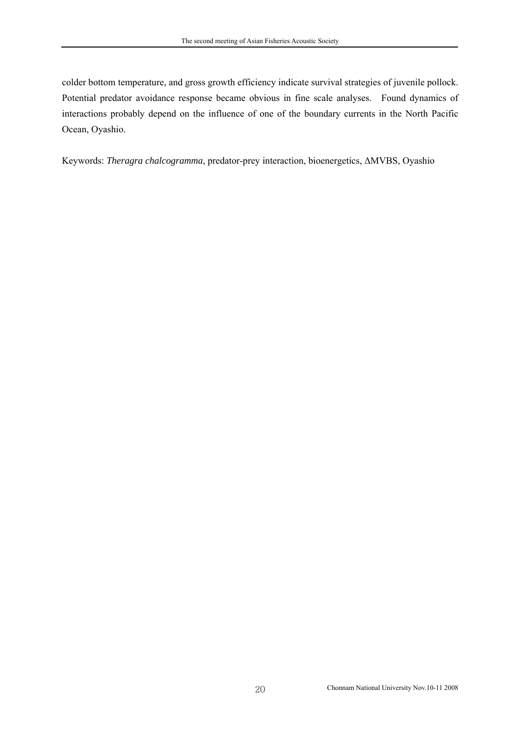colder bottom temperature, and gross growth efficiency indicate survival strategies of juvenile pollock. Potential predator avoidance response became obvious in fine scale analyses. Found dynamics of interactions probably depend on the influence of one of the boundary currents in the North Pacific Ocean, Oyashio.

Keywords: *Theragra chalcogramma*, predator-prey interaction, bioenergetics, ∆MVBS, Oyashio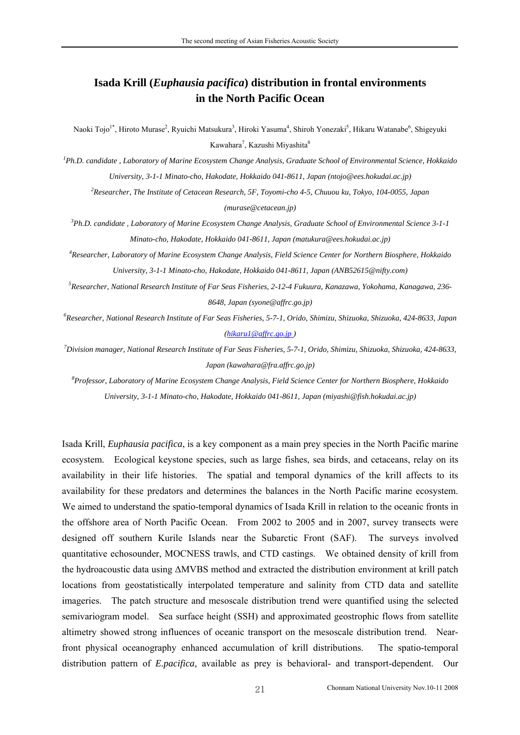# <span id="page-27-0"></span>**Isada Krill (***Euphausia pacifica***) distribution in frontal environments in the North Pacific Ocean**

Naoki Tojo<sup>1\*</sup>, Hiroto Murase<sup>2</sup>, Ryuichi Matsukura<sup>3</sup>, Hiroki Yasuma<sup>4</sup>, Shiroh Yonezaki<sup>5</sup>, Hikaru Watanabe<sup>6</sup>, Shigeyuki Kawahara<sup>7</sup>, Kazushi Miyashita<sup>8</sup>

*1 Ph.D. candidate , Laboratory of Marine Ecosystem Change Analysis, Graduate School of Environmental Science, Hokkaido University, 3-1-1 Minato-cho, Hakodate, Hokkaido 041-8611, Japan (ntojo@ees.hokudai.ac.jp)*

*2 Researcher, The Institute of Cetacean Research, 5F, Toyomi-cho 4-5, Chuuou ku, Tokyo, 104-0055, Japan (murase@cetacean.jp)*

*3 Ph.D. candidate , Laboratory of Marine Ecosystem Change Analysis, Graduate School of Environmental Science 3-1-1 Minato-cho, Hakodate, Hokkaido 041-8611, Japan (matukura@ees.hokudai.ac.jp)*

*4 Researcher, Laboratory of Marine Ecosystem Change Analysis, Field Science Center for Northern Biosphere, Hokkaido University, 3-1-1 Minato-cho, Hakodate, Hokkaido 041-8611, Japan (ANB52615@nifty.com)*

*5 Researcher, National Research Institute of Far Seas Fisheries, 2-12-4 Fukuura, Kanazawa, Yokohama, Kanagawa, 236- 8648, Japan (syone@affrc.go.jp)*

*6 Researcher, National Research Institute of Far Seas Fisheries, 5-7-1, Orido, Shimizu, Shizuoka, Shizuoka, 424-8633, Japan ([hikaru1@affrc.go.jp \)](mailto:kawahara@fra.affrc.go.jp)* 

*7 Division manager, National Research Institute of Far Seas Fisheries, 5-7-1, Orido, Shimizu, Shizuoka, Shizuoka, 424-8633, Japan (kawahara@fra.affrc.go.jp)*

*8 Professor, Laboratory of Marine Ecosystem Change Analysis, Field Science Center for Northern Biosphere, Hokkaido University, 3-1-1 Minato-cho, Hakodate, Hokkaido 041-8611, Japan (miyashi@fish.hokudai.ac.jp)*

Isada Krill, *Euphausia pacifica*, is a key component as a main prey species in the North Pacific marine ecosystem. Ecological keystone species, such as large fishes, sea birds, and cetaceans, relay on its availability in their life histories. The spatial and temporal dynamics of the krill affects to its availability for these predators and determines the balances in the North Pacific marine ecosystem. We aimed to understand the spatio-temporal dynamics of Isada Krill in relation to the oceanic fronts in the offshore area of North Pacific Ocean. From 2002 to 2005 and in 2007, survey transects were designed off southern Kurile Islands near the Subarctic Front (SAF). The surveys involved quantitative echosounder, MOCNESS trawls, and CTD castings. We obtained density of krill from the hydroacoustic data using ∆MVBS method and extracted the distribution environment at krill patch locations from geostatistically interpolated temperature and salinity from CTD data and satellite imageries. The patch structure and mesoscale distribution trend were quantified using the selected semivariogram model. Sea surface height (SSH) and approximated geostrophic flows from satellite altimetry showed strong influences of oceanic transport on the mesoscale distribution trend. Nearfront physical oceanography enhanced accumulation of krill distributions. The spatio-temporal distribution pattern of *E.pacifica,* available as prey is behavioral- and transport-dependent. Our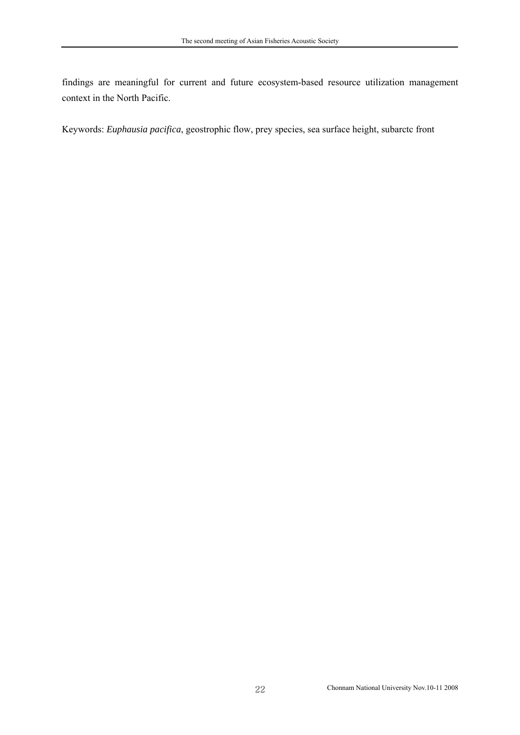findings are meaningful for current and future ecosystem-based resource utilization management context in the North Pacific.

Keywords: *Euphausia pacifica*, geostrophic flow, prey species, sea surface height, subarctc front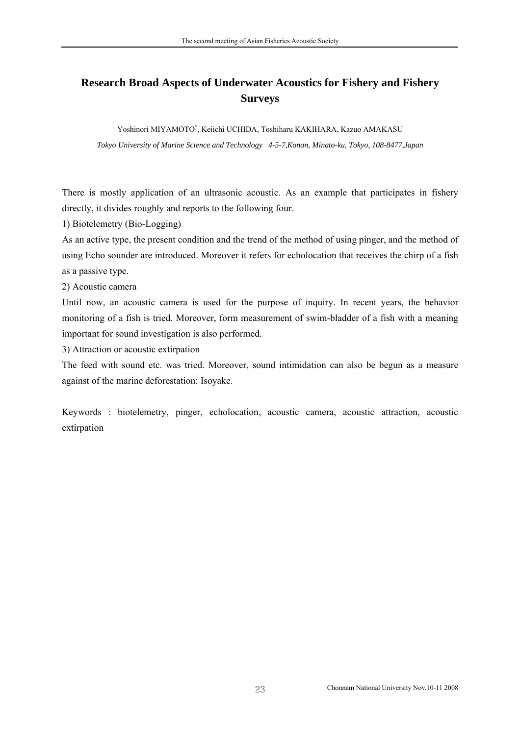# <span id="page-29-0"></span>**Research Broad Aspects of Underwater Acoustics for Fishery and Fishery Surveys**

Yoshinori MIYAMOTO\*, Keiichi UCHIDA, Toshiharu KAKIHARA, Kazuo AMAKASU *Tokyo University of Marine Science and Technology 4-5-7,Konan, Minato-ku, Tokyo, 108-8477,Japan* 

There is mostly application of an ultrasonic acoustic. As an example that participates in fishery directly, it divides roughly and reports to the following four.

1) Biotelemetry (Bio-Logging)

As an active type, the present condition and the trend of the method of using pinger, and the method of using Echo sounder are introduced. Moreover it refers for echolocation that receives the chirp of a fish as a passive type.

2) Acoustic camera

Until now, an acoustic camera is used for the purpose of inquiry. In recent years, the behavior monitoring of a fish is tried. Moreover, form measurement of swim-bladder of a fish with a meaning important for sound investigation is also performed.

3) Attraction or acoustic extirpation

The feed with sound etc. was tried. Moreover, sound intimidation can also be begun as a measure against of the marine deforestation: Isoyake.

Keywords : biotelemetry, pinger, echolocation, acoustic camera, acoustic attraction, acoustic extirpation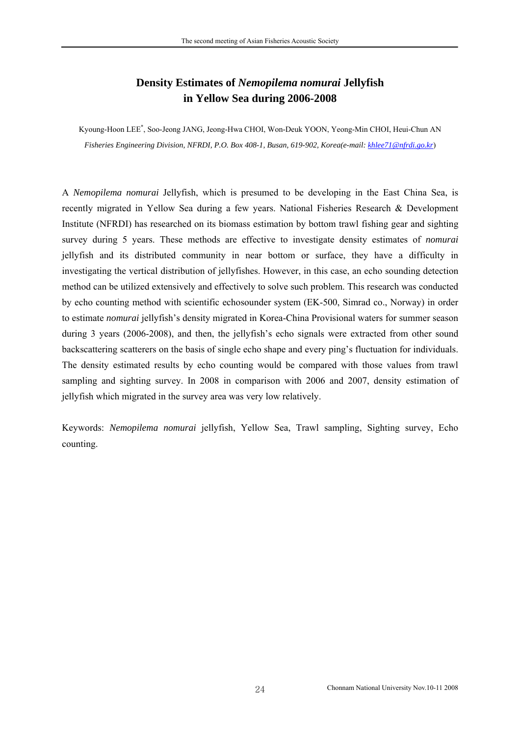# **Density Estimates of** *Nemopilema nomurai* **Jellyfish in Yellow Sea during 2006-2008**

<span id="page-30-0"></span>Kyoung-Hoon LEE\* , Soo-Jeong JANG, Jeong-Hwa CHOI, Won-Deuk YOON, Yeong-Min CHOI, Heui-Chun AN *Fisheries Engineering Division, NFRDI, P.O. Box 408-1, Busan, 619-902, Korea(e-mail: [khlee71@nfrdi.go.kr](mailto:khlee71@nfrdi.re.kr)*)

A *Nemopilema nomurai* Jellyfish, which is presumed to be developing in the East China Sea, is recently migrated in Yellow Sea during a few years. National Fisheries Research & Development Institute (NFRDI) has researched on its biomass estimation by bottom trawl fishing gear and sighting survey during 5 years. These methods are effective to investigate density estimates of *nomurai* jellyfish and its distributed community in near bottom or surface, they have a difficulty in investigating the vertical distribution of jellyfishes. However, in this case, an echo sounding detection method can be utilized extensively and effectively to solve such problem. This research was conducted by echo counting method with scientific echosounder system (EK-500, Simrad co., Norway) in order to estimate *nomurai* jellyfish's density migrated in Korea-China Provisional waters for summer season during 3 years (2006-2008), and then, the jellyfish's echo signals were extracted from other sound backscattering scatterers on the basis of single echo shape and every ping's fluctuation for individuals. The density estimated results by echo counting would be compared with those values from trawl sampling and sighting survey. In 2008 in comparison with 2006 and 2007, density estimation of jellyfish which migrated in the survey area was very low relatively.

Keywords: *Nemopilema nomurai* jellyfish, Yellow Sea, Trawl sampling, Sighting survey, Echo counting.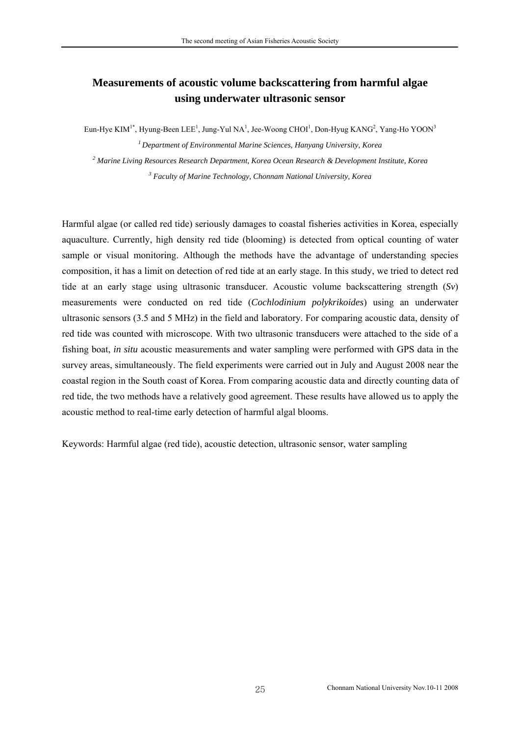## <span id="page-31-0"></span>**Measurements of acoustic volume backscattering from harmful algae using underwater ultrasonic sensor**

Eun-Hye KIM<sup>1\*</sup>, Hyung-Been LEE<sup>1</sup>, Jung-Yul NA<sup>1</sup>, Jee-Woong CHOI<sup>1</sup>, Don-Hyug KANG<sup>2</sup>, Yang-Ho YOON<sup>3</sup> *1 Department of Environmental Marine Sciences, Hanyang University, Korea* 

*2 Marine Living Resources Research Department, Korea Ocean Research & Development Institute, Korea 3 Faculty of Marine Technology, Chonnam National University, Korea* 

Harmful algae (or called red tide) seriously damages to coastal fisheries activities in Korea, especially aquaculture. Currently, high density red tide (blooming) is detected from optical counting of water sample or visual monitoring. Although the methods have the advantage of understanding species composition, it has a limit on detection of red tide at an early stage. In this study, we tried to detect red tide at an early stage using ultrasonic transducer. Acoustic volume backscattering strength (*Sv*) measurements were conducted on red tide (*Cochlodinium polykrikoides*) using an underwater ultrasonic sensors (3.5 and 5 MHz) in the field and laboratory. For comparing acoustic data, density of red tide was counted with microscope. With two ultrasonic transducers were attached to the side of a fishing boat, *in situ* acoustic measurements and water sampling were performed with GPS data in the survey areas, simultaneously. The field experiments were carried out in July and August 2008 near the coastal region in the South coast of Korea. From comparing acoustic data and directly counting data of red tide, the two methods have a relatively good agreement. These results have allowed us to apply the acoustic method to real-time early detection of harmful algal blooms.

Keywords: Harmful algae (red tide), acoustic detection, ultrasonic sensor, water sampling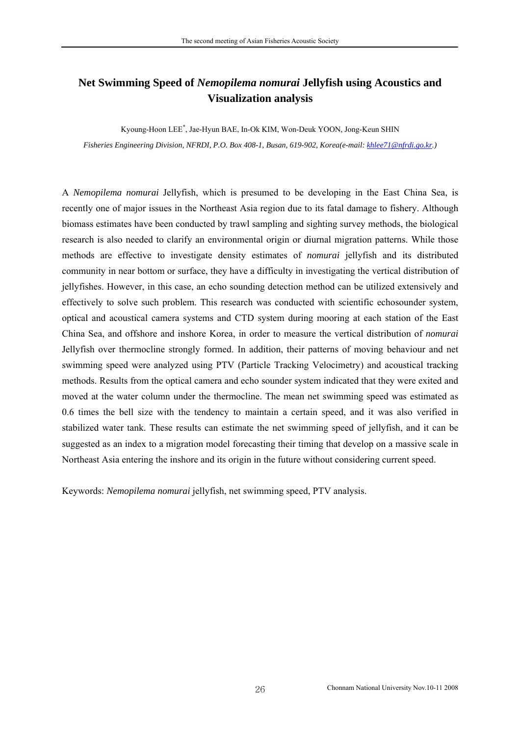## <span id="page-32-0"></span>**Net Swimming Speed of** *Nemopilema nomurai* **Jellyfish using Acoustics and Visualization analysis**

Kyoung-Hoon LEE\* , Jae-Hyun BAE, In-Ok KIM, Won-Deuk YOON, Jong-Keun SHIN *Fisheries Engineering Division, NFRDI, P.O. Box 408-1, Busan, 619-902, Korea(e-mail: [khlee71@nfrdi.go.kr.](mailto:khlee71@nfrdi.re.kr))*

A *Nemopilema nomurai* Jellyfish, which is presumed to be developing in the East China Sea, is recently one of major issues in the Northeast Asia region due to its fatal damage to fishery. Although biomass estimates have been conducted by trawl sampling and sighting survey methods, the biological research is also needed to clarify an environmental origin or diurnal migration patterns. While those methods are effective to investigate density estimates of *nomurai* jellyfish and its distributed community in near bottom or surface, they have a difficulty in investigating the vertical distribution of jellyfishes. However, in this case, an echo sounding detection method can be utilized extensively and effectively to solve such problem. This research was conducted with scientific echosounder system, optical and acoustical camera systems and CTD system during mooring at each station of the East China Sea, and offshore and inshore Korea, in order to measure the vertical distribution of *nomurai* Jellyfish over thermocline strongly formed. In addition, their patterns of moving behaviour and net swimming speed were analyzed using PTV (Particle Tracking Velocimetry) and acoustical tracking methods. Results from the optical camera and echo sounder system indicated that they were exited and moved at the water column under the thermocline. The mean net swimming speed was estimated as 0.6 times the bell size with the tendency to maintain a certain speed, and it was also verified in stabilized water tank. These results can estimate the net swimming speed of jellyfish, and it can be suggested as an index to a migration model forecasting their timing that develop on a massive scale in Northeast Asia entering the inshore and its origin in the future without considering current speed.

Keywords: *Nemopilema nomurai* jellyfish, net swimming speed, PTV analysis.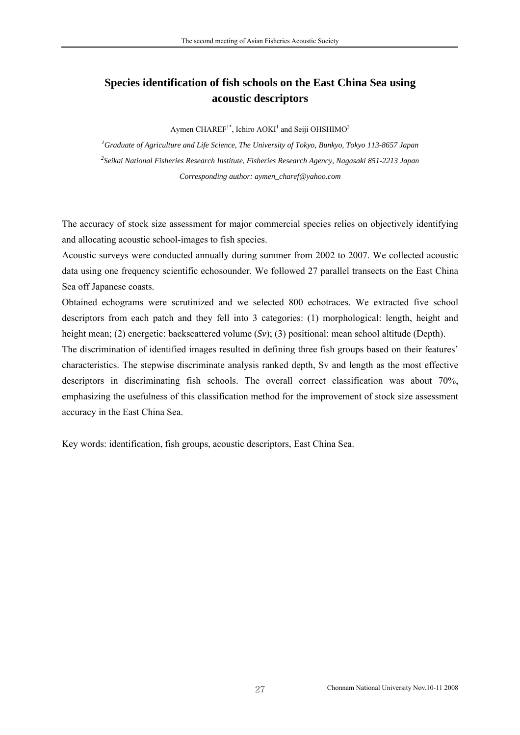## <span id="page-33-0"></span>**Species identification of fish schools on the East China Sea using acoustic descriptors**

Aymen CHAREF<sup>1\*</sup>, Ichiro AOKI<sup>1</sup> and Seiji OHSHIMO<sup>2</sup>

*1 Graduate of Agriculture and Life Science, The University of Tokyo, Bunkyo, Tokyo 113-8657 Japan 2 Seikai National Fisheries Research Institute, Fisheries Research Agency, Nagasaki 851-2213 Japan Corresponding author: aymen\_charef@yahoo.com* 

The accuracy of stock size assessment for major commercial species relies on objectively identifying and allocating acoustic school-images to fish species.

Acoustic surveys were conducted annually during summer from 2002 to 2007. We collected acoustic data using one frequency scientific echosounder. We followed 27 parallel transects on the East China Sea off Japanese coasts.

Obtained echograms were scrutinized and we selected 800 echotraces. We extracted five school descriptors from each patch and they fell into 3 categories: (1) morphological: length, height and height mean; (2) energetic: backscattered volume (*Sv*); (3) positional: mean school altitude (Depth).

The discrimination of identified images resulted in defining three fish groups based on their features' characteristics. The stepwise discriminate analysis ranked depth, Sv and length as the most effective descriptors in discriminating fish schools. The overall correct classification was about 70%, emphasizing the usefulness of this classification method for the improvement of stock size assessment accuracy in the East China Sea.

Key words: identification, fish groups, acoustic descriptors, East China Sea.